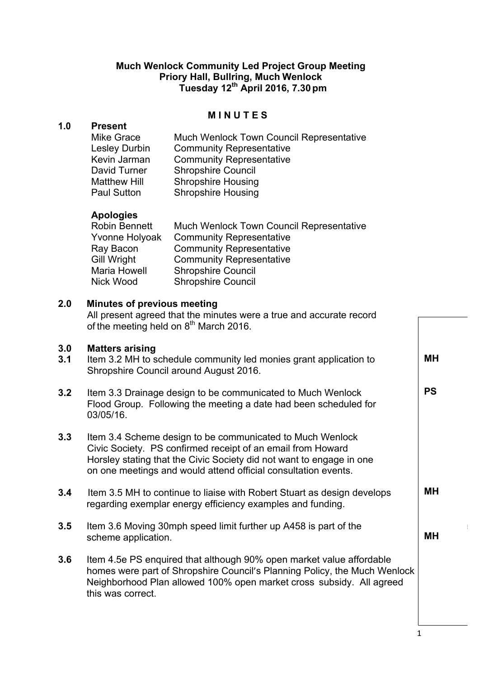# **Much Wenlock Community Led Project Group Meeting Priory Hall, Bullring, Much Wenlock Tuesday 12th April 2016, 7.30pm**

### **M I N U T E S**

### **1.0 Present**

| <b>Mike Grace</b>   | <b>Much Wenlock Town Council Representative</b> |
|---------------------|-------------------------------------------------|
| Lesley Durbin       | <b>Community Representative</b>                 |
| Kevin Jarman        | <b>Community Representative</b>                 |
| David Turner        | <b>Shropshire Council</b>                       |
| <b>Matthew Hill</b> | <b>Shropshire Housing</b>                       |
| <b>Paul Sutton</b>  | <b>Shropshire Housing</b>                       |
|                     |                                                 |

# **Apologies**

| Robin Bennett  | <b>Much Wenlock Town Council Representative</b> |
|----------------|-------------------------------------------------|
| Yvonne Holyoak | <b>Community Representative</b>                 |
| Ray Bacon      | <b>Community Representative</b>                 |
| Gill Wright    | <b>Community Representative</b>                 |
| Maria Howell   | <b>Shropshire Council</b>                       |
| Nick Wood      | <b>Shropshire Council</b>                       |

## **2.0 Minutes of previous meeting**

All present agreed that the minutes were a true and accurate record of the meeting held on  $8<sup>th</sup>$  March 2016.

## **3.0 Matters arising**

- **3.1** Item 3.2 MH to schedule community led monies grant application to Shropshire Council around August 2016.
- **3.2** Item 3.3 Drainage design to be communicated to Much Wenlock Flood Group. Following the meeting a date had been scheduled for 03/05/16.
- **3.3** Item 3.4 Scheme design to be communicated to Much Wenlock Civic Society. PS confirmed receipt of an email from Howard Horsley stating that the Civic Society did not want to engage in one on one meetings and would attend official consultation events.
- **3.4** Item 3.5 MH to continue to liaise with Robert Stuart as design develops regarding exemplar energy efficiency examples and funding. **MH**
- **3.5** Item 3.6 Moving 30mph speed limit further up A458 is part of the scheme application.
- **3.6** Item 4.5e PS enquired that although 90% open market value affordable homes were part of Shropshire Council's Planning Policy, the Much Wenlock Neighborhood Plan allowed 100% open market cross subsidy. All agreed this was correct.

**MH** 

**PS**

**MH**